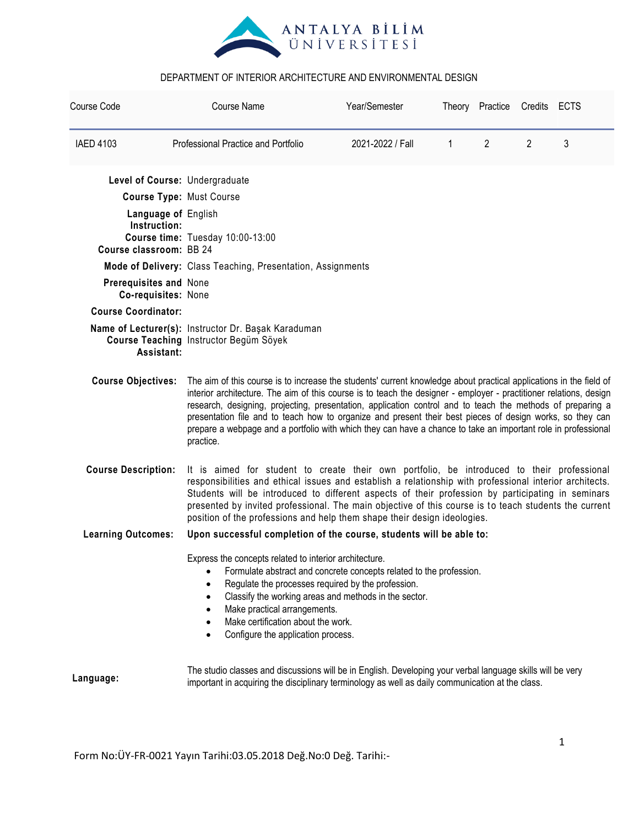

| Course Code                                   | <b>Course Name</b>                                                                                                                                                                                                                                                                                                                                                                                                                                                                                                                                                                                | Year/Semester    |   | Theory Practice Credits ECTS |                | 3 |  |  |
|-----------------------------------------------|---------------------------------------------------------------------------------------------------------------------------------------------------------------------------------------------------------------------------------------------------------------------------------------------------------------------------------------------------------------------------------------------------------------------------------------------------------------------------------------------------------------------------------------------------------------------------------------------------|------------------|---|------------------------------|----------------|---|--|--|
| <b>IAED 4103</b>                              | Professional Practice and Portfolio                                                                                                                                                                                                                                                                                                                                                                                                                                                                                                                                                               | 2021-2022 / Fall | 1 | $\overline{2}$               | $\overline{2}$ |   |  |  |
| Level of Course: Undergraduate                |                                                                                                                                                                                                                                                                                                                                                                                                                                                                                                                                                                                                   |                  |   |                              |                |   |  |  |
| <b>Course Type: Must Course</b>               |                                                                                                                                                                                                                                                                                                                                                                                                                                                                                                                                                                                                   |                  |   |                              |                |   |  |  |
| Language of English<br>Instruction:           | Course time: Tuesday 10:00-13:00                                                                                                                                                                                                                                                                                                                                                                                                                                                                                                                                                                  |                  |   |                              |                |   |  |  |
| Course classroom: BB 24                       |                                                                                                                                                                                                                                                                                                                                                                                                                                                                                                                                                                                                   |                  |   |                              |                |   |  |  |
|                                               | Mode of Delivery: Class Teaching, Presentation, Assignments                                                                                                                                                                                                                                                                                                                                                                                                                                                                                                                                       |                  |   |                              |                |   |  |  |
| Prerequisites and None<br>Co-requisites: None |                                                                                                                                                                                                                                                                                                                                                                                                                                                                                                                                                                                                   |                  |   |                              |                |   |  |  |
| <b>Course Coordinator:</b>                    |                                                                                                                                                                                                                                                                                                                                                                                                                                                                                                                                                                                                   |                  |   |                              |                |   |  |  |
| Assistant:                                    | Name of Lecturer(s): Instructor Dr. Başak Karaduman<br>Course Teaching Instructor Begüm Söyek                                                                                                                                                                                                                                                                                                                                                                                                                                                                                                     |                  |   |                              |                |   |  |  |
| <b>Course Objectives:</b>                     | The aim of this course is to increase the students' current knowledge about practical applications in the field of<br>interior architecture. The aim of this course is to teach the designer - employer - practitioner relations, design<br>research, designing, projecting, presentation, application control and to teach the methods of preparing a<br>presentation file and to teach how to organize and present their best pieces of design works, so they can<br>prepare a webpage and a portfolio with which they can have a chance to take an important role in professional<br>practice. |                  |   |                              |                |   |  |  |
| <b>Course Description:</b>                    | It is aimed for student to create their own portfolio, be introduced to their professional<br>responsibilities and ethical issues and establish a relationship with professional interior architects.<br>Students will be introduced to different aspects of their profession by participating in seminars<br>presented by invited professional. The main objective of this course is to teach students the current<br>position of the professions and help them shape their design ideologies.                                                                                                   |                  |   |                              |                |   |  |  |
| <b>Learning Outcomes:</b>                     | Upon successful completion of the course, students will be able to:                                                                                                                                                                                                                                                                                                                                                                                                                                                                                                                               |                  |   |                              |                |   |  |  |
|                                               | Express the concepts related to interior architecture.<br>Formulate abstract and concrete concepts related to the profession.<br>Regulate the processes required by the profession.<br>Classify the working areas and methods in the sector.<br>$\bullet$<br>Make practical arrangements.<br>Make certification about the work.<br>Configure the application process.<br>$\bullet$                                                                                                                                                                                                                |                  |   |                              |                |   |  |  |
| Language:                                     | The studio classes and discussions will be in English. Developing your verbal language skills will be very<br>important in acquiring the disciplinary terminology as well as daily communication at the class.                                                                                                                                                                                                                                                                                                                                                                                    |                  |   |                              |                |   |  |  |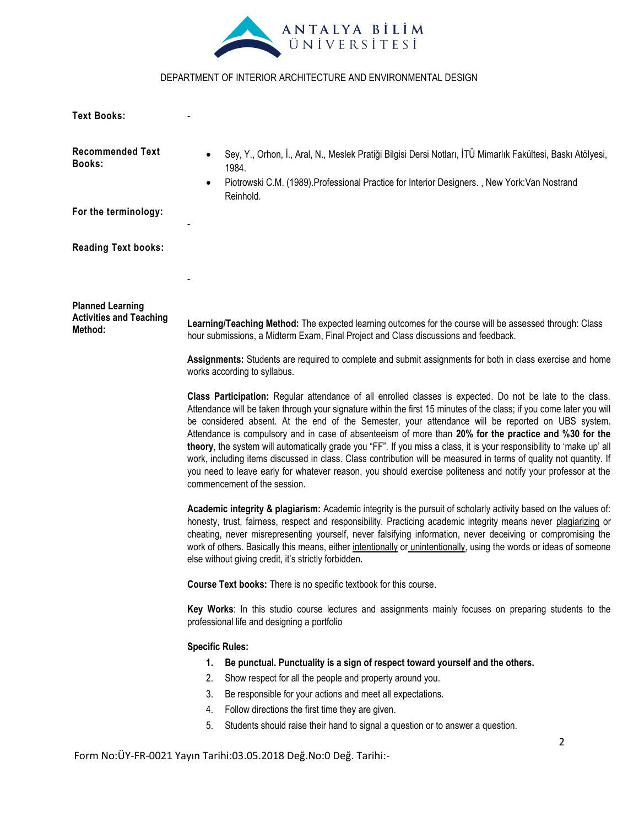

**Text Books:**

-

| <b>Recommended Text</b><br><b>Books:</b>                                                                                                                                                                                                                                                                                                                                                                                                                                                                                         | Sey, Y., Orhon, İ., Aral, N., Meslek Pratiği Bilgisi Dersi Notları, İTÜ Mimarlık Fakültesi, Baskı Atölyesi,<br>1984.                                                                                                                                                                                                                                                                                                                                                                                                                                                                                                                                                                                                                                                                                                                           |  |  |  |  |  |  |
|----------------------------------------------------------------------------------------------------------------------------------------------------------------------------------------------------------------------------------------------------------------------------------------------------------------------------------------------------------------------------------------------------------------------------------------------------------------------------------------------------------------------------------|------------------------------------------------------------------------------------------------------------------------------------------------------------------------------------------------------------------------------------------------------------------------------------------------------------------------------------------------------------------------------------------------------------------------------------------------------------------------------------------------------------------------------------------------------------------------------------------------------------------------------------------------------------------------------------------------------------------------------------------------------------------------------------------------------------------------------------------------|--|--|--|--|--|--|
|                                                                                                                                                                                                                                                                                                                                                                                                                                                                                                                                  | Piotrowski C.M. (1989). Professional Practice for Interior Designers., New York: Van Nostrand<br>$\bullet$<br>Reinhold.                                                                                                                                                                                                                                                                                                                                                                                                                                                                                                                                                                                                                                                                                                                        |  |  |  |  |  |  |
| For the terminology:                                                                                                                                                                                                                                                                                                                                                                                                                                                                                                             |                                                                                                                                                                                                                                                                                                                                                                                                                                                                                                                                                                                                                                                                                                                                                                                                                                                |  |  |  |  |  |  |
| <b>Reading Text books:</b>                                                                                                                                                                                                                                                                                                                                                                                                                                                                                                       |                                                                                                                                                                                                                                                                                                                                                                                                                                                                                                                                                                                                                                                                                                                                                                                                                                                |  |  |  |  |  |  |
|                                                                                                                                                                                                                                                                                                                                                                                                                                                                                                                                  |                                                                                                                                                                                                                                                                                                                                                                                                                                                                                                                                                                                                                                                                                                                                                                                                                                                |  |  |  |  |  |  |
| <b>Planned Learning</b><br><b>Activities and Teaching</b><br>Method:                                                                                                                                                                                                                                                                                                                                                                                                                                                             | Learning/Teaching Method: The expected learning outcomes for the course will be assessed through: Class<br>hour submissions, a Midterm Exam, Final Project and Class discussions and feedback.                                                                                                                                                                                                                                                                                                                                                                                                                                                                                                                                                                                                                                                 |  |  |  |  |  |  |
|                                                                                                                                                                                                                                                                                                                                                                                                                                                                                                                                  | Assignments: Students are required to complete and submit assignments for both in class exercise and home<br>works according to syllabus.                                                                                                                                                                                                                                                                                                                                                                                                                                                                                                                                                                                                                                                                                                      |  |  |  |  |  |  |
|                                                                                                                                                                                                                                                                                                                                                                                                                                                                                                                                  | Class Participation: Regular attendance of all enrolled classes is expected. Do not be late to the class.<br>Attendance will be taken through your signature within the first 15 minutes of the class; if you come later you will<br>be considered absent. At the end of the Semester, your attendance will be reported on UBS system.<br>Attendance is compulsory and in case of absenteeism of more than 20% for the practice and %30 for the<br>theory, the system will automatically grade you "FF". If you miss a class, it is your responsibility to 'make up' all<br>work, including items discussed in class. Class contribution will be measured in terms of quality not quantity. If<br>you need to leave early for whatever reason, you should exercise politeness and notify your professor at the<br>commencement of the session. |  |  |  |  |  |  |
| Academic integrity & plagiarism: Academic integrity is the pursuit of scholarly activity based on the values of:<br>honesty, trust, fairness, respect and responsibility. Practicing academic integrity means never plagiarizing or<br>cheating, never misrepresenting yourself, never falsifying information, never deceiving or compromising the<br>work of others. Basically this means, either intentionally or unintentionally, using the words or ideas of someone<br>else without giving credit, it's strictly forbidden. |                                                                                                                                                                                                                                                                                                                                                                                                                                                                                                                                                                                                                                                                                                                                                                                                                                                |  |  |  |  |  |  |
|                                                                                                                                                                                                                                                                                                                                                                                                                                                                                                                                  | Course Text books: There is no specific textbook for this course.                                                                                                                                                                                                                                                                                                                                                                                                                                                                                                                                                                                                                                                                                                                                                                              |  |  |  |  |  |  |
|                                                                                                                                                                                                                                                                                                                                                                                                                                                                                                                                  | Key Works: In this studio course lectures and assignments mainly focuses on preparing students to the<br>professional life and designing a portfolio                                                                                                                                                                                                                                                                                                                                                                                                                                                                                                                                                                                                                                                                                           |  |  |  |  |  |  |
|                                                                                                                                                                                                                                                                                                                                                                                                                                                                                                                                  | <b>Specific Rules:</b>                                                                                                                                                                                                                                                                                                                                                                                                                                                                                                                                                                                                                                                                                                                                                                                                                         |  |  |  |  |  |  |
|                                                                                                                                                                                                                                                                                                                                                                                                                                                                                                                                  | Be punctual. Punctuality is a sign of respect toward yourself and the others.<br>1.                                                                                                                                                                                                                                                                                                                                                                                                                                                                                                                                                                                                                                                                                                                                                            |  |  |  |  |  |  |
|                                                                                                                                                                                                                                                                                                                                                                                                                                                                                                                                  | Show respect for all the people and property around you.<br>2.                                                                                                                                                                                                                                                                                                                                                                                                                                                                                                                                                                                                                                                                                                                                                                                 |  |  |  |  |  |  |
|                                                                                                                                                                                                                                                                                                                                                                                                                                                                                                                                  | Be responsible for your actions and meet all expectations.<br>3.                                                                                                                                                                                                                                                                                                                                                                                                                                                                                                                                                                                                                                                                                                                                                                               |  |  |  |  |  |  |
|                                                                                                                                                                                                                                                                                                                                                                                                                                                                                                                                  | Follow directions the first time they are given.<br>4.                                                                                                                                                                                                                                                                                                                                                                                                                                                                                                                                                                                                                                                                                                                                                                                         |  |  |  |  |  |  |
|                                                                                                                                                                                                                                                                                                                                                                                                                                                                                                                                  | Students should raise their hand to signal a question or to answer a question.<br>5.                                                                                                                                                                                                                                                                                                                                                                                                                                                                                                                                                                                                                                                                                                                                                           |  |  |  |  |  |  |
|                                                                                                                                                                                                                                                                                                                                                                                                                                                                                                                                  | 2<br>Form No: ÜY-FR-0021 Yayın Tarihi: 03.05.2018 Değ. No: 0 Değ. Tarihi:-                                                                                                                                                                                                                                                                                                                                                                                                                                                                                                                                                                                                                                                                                                                                                                     |  |  |  |  |  |  |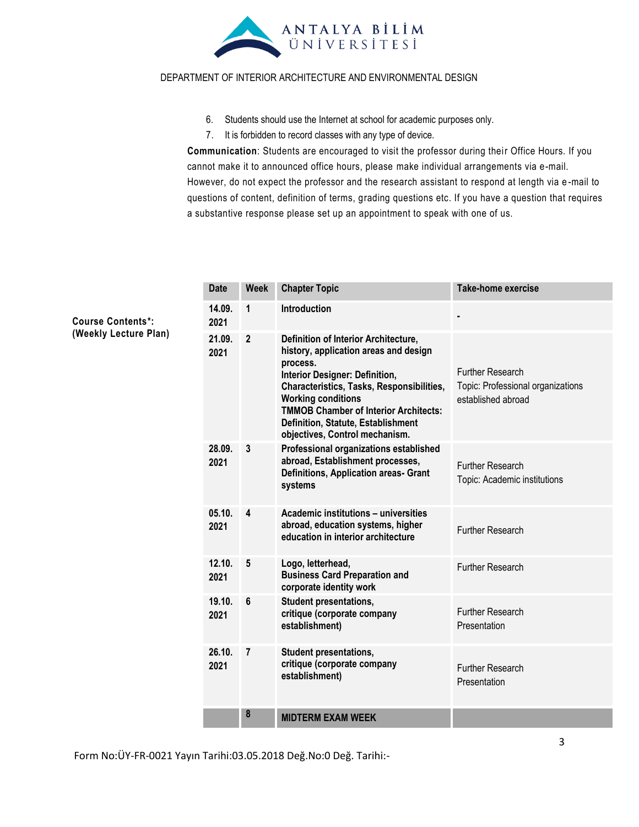

- 6. Students should use the Internet at school for academic purposes only.
- 7. It is forbidden to record classes with any type of device.

**Communication**: Students are encouraged to visit the professor during their Office Hours. If you cannot make it to announced office hours, please make individual arrangements via e-mail. However, do not expect the professor and the research assistant to respond at length via e -mail to questions of content, definition of terms, grading questions etc. If you have a question that requires a substantive response please set up an appointment to speak with one of us.

| <b>Date</b>    | <b>Week</b>    | <b>Chapter Topic</b>                                                                                                                                                                                                                                                                                                          | <b>Take-home exercise</b>                                                          |
|----------------|----------------|-------------------------------------------------------------------------------------------------------------------------------------------------------------------------------------------------------------------------------------------------------------------------------------------------------------------------------|------------------------------------------------------------------------------------|
| 14.09.<br>2021 | 1              | <b>Introduction</b>                                                                                                                                                                                                                                                                                                           |                                                                                    |
| 21.09.<br>2021 | $\overline{2}$ | Definition of Interior Architecture,<br>history, application areas and design<br>process.<br>Interior Designer: Definition,<br>Characteristics, Tasks, Responsibilities,<br><b>Working conditions</b><br><b>TMMOB Chamber of Interior Architects:</b><br>Definition, Statute, Establishment<br>objectives, Control mechanism. | <b>Further Research</b><br>Topic: Professional organizations<br>established abroad |
| 28.09.<br>2021 | 3              | Professional organizations established<br>abroad, Establishment processes,<br>Definitions, Application areas- Grant<br>systems                                                                                                                                                                                                | <b>Further Research</b><br>Topic: Academic institutions                            |
| 05.10.<br>2021 | 4              | Academic institutions - universities<br>abroad, education systems, higher<br>education in interior architecture                                                                                                                                                                                                               | <b>Further Research</b>                                                            |
| 12.10.<br>2021 | 5              | Logo, letterhead,<br><b>Business Card Preparation and</b><br>corporate identity work                                                                                                                                                                                                                                          | <b>Further Research</b>                                                            |
| 19.10.<br>2021 | 6              | <b>Student presentations,</b><br>critique (corporate company<br>establishment)                                                                                                                                                                                                                                                | <b>Further Research</b><br>Presentation                                            |
| 26.10.<br>2021 | $\overline{7}$ | <b>Student presentations,</b><br>critique (corporate company<br>establishment)                                                                                                                                                                                                                                                | <b>Further Research</b><br>Presentation                                            |
|                | 8              | <b>MIDTERM EXAM WEEK</b>                                                                                                                                                                                                                                                                                                      |                                                                                    |

**Course Contents\*: (Weekly Lecture Plan)**

Form No:ÜY-FR-0021 Yayın Tarihi:03.05.2018 Değ.No:0 Değ. Tarihi:-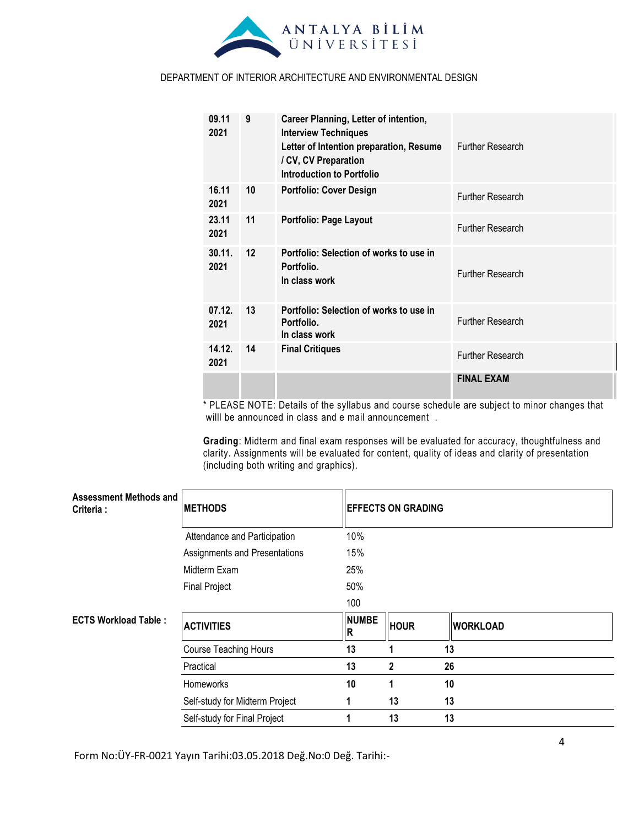

| 09.11<br>2021  | 9  | Career Planning, Letter of intention,<br><b>Interview Techniques</b><br>Letter of Intention preparation, Resume<br>/ CV, CV Preparation<br>Introduction to Portfolio | <b>Further Research</b> |
|----------------|----|----------------------------------------------------------------------------------------------------------------------------------------------------------------------|-------------------------|
| 16.11<br>2021  | 10 | <b>Portfolio: Cover Design</b>                                                                                                                                       | <b>Further Research</b> |
| 23.11<br>2021  | 11 | Portfolio: Page Layout                                                                                                                                               | <b>Further Research</b> |
| 30.11.<br>2021 | 12 | Portfolio: Selection of works to use in<br>Portfolio.<br>In class work                                                                                               | <b>Further Research</b> |
| 07.12.<br>2021 | 13 | Portfolio: Selection of works to use in<br>Portfolio.<br>In class work                                                                                               | <b>Further Research</b> |
| 14.12.<br>2021 | 14 | <b>Final Critiques</b>                                                                                                                                               | <b>Further Research</b> |
|                |    |                                                                                                                                                                      | <b>FINAL EXAM</b>       |

\* PLEASE NOTE: Details of the syllabus and course schedule are subject to minor changes that willl be announced in class and e mail announcement .

**Grading**: Midterm and final exam responses will be evaluated for accuracy, thoughtfulness and clarity. Assignments will be evaluated for content, quality of ideas and clarity of presentation (including both writing and graphics).

| Assessment Methods and<br>Criteria : | <b>METHODS</b>                 | <b>EFFECTS ON GRADING</b> |             |                 |  |
|--------------------------------------|--------------------------------|---------------------------|-------------|-----------------|--|
|                                      | Attendance and Participation   | 10%                       |             |                 |  |
|                                      | Assignments and Presentations  | 15%                       |             |                 |  |
|                                      | Midterm Exam                   | 25%                       |             |                 |  |
|                                      | <b>Final Project</b>           | 50%                       |             |                 |  |
|                                      |                                | 100                       |             |                 |  |
| <b>ECTS Workload Table:</b>          | <b>ACTIVITIES</b>              | <b>NUMBE</b><br>IR.       | <b>HOUR</b> | <b>WORKLOAD</b> |  |
|                                      | Course Teaching Hours          | 13                        |             | 13              |  |
|                                      | Practical                      | 13                        | 2           | 26              |  |
|                                      | Homeworks                      | 10                        |             | 10              |  |
|                                      | Self-study for Midterm Project | 1                         | 13          | 13              |  |
|                                      | Self-study for Final Project   |                           | 13          | 13              |  |

Form No:ÜY-FR-0021 Yayın Tarihi:03.05.2018 Değ.No:0 Değ. Tarihi:-